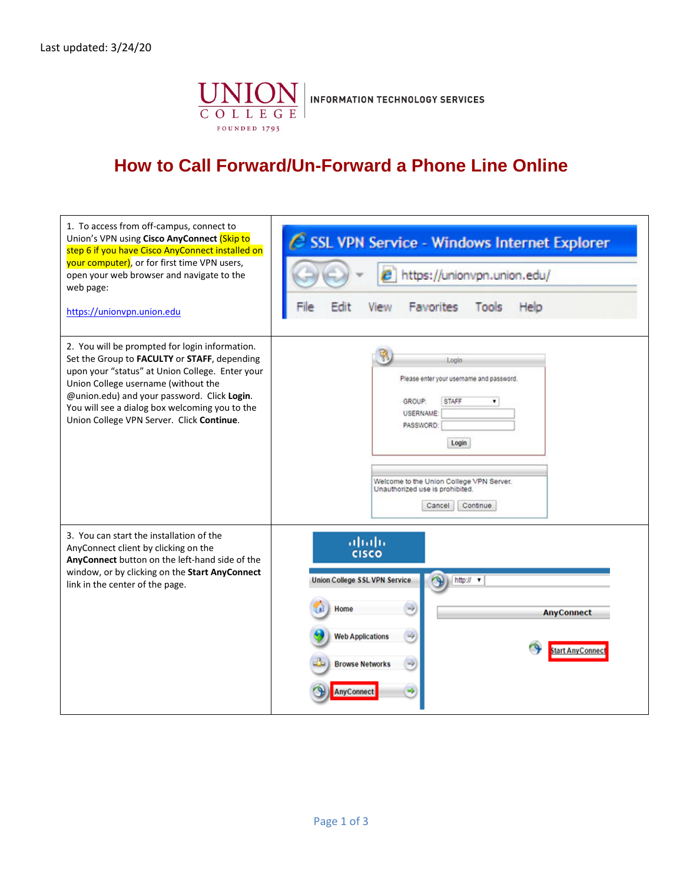

## **How to Call Forward/Un-Forward a Phone Line Online**

| 1. To access from off-campus, connect to<br>Union's VPN using Cisco AnyConnect (Skip to<br>step 6 if you have Cisco AnyConnect installed on<br>your computer), or for first time VPN users,<br>open your web browser and navigate to the<br>web page:<br>https://unionvpn.union.edu                                                    | SSL VPN Service - Windows Internet Explorer<br>https://unionvpn.union.edu/<br>Favorites<br>Help<br>Tools                                                                                                                    |
|----------------------------------------------------------------------------------------------------------------------------------------------------------------------------------------------------------------------------------------------------------------------------------------------------------------------------------------|-----------------------------------------------------------------------------------------------------------------------------------------------------------------------------------------------------------------------------|
| 2. You will be prompted for login information.<br>Set the Group to FACULTY or STAFF, depending<br>upon your "status" at Union College. Enter your<br>Union College username (without the<br>@union.edu) and your password. Click Login.<br>You will see a dialog box welcoming you to the<br>Union College VPN Server. Click Continue. | Login<br>Please enter your username and password.<br>GROUP:<br>STAFF<br>۰<br>USERNAME:<br>PASSWORD:<br>Login<br>Welcome to the Union College VPN Server.<br>Unauthorized use is prohibited.<br>Continue<br>Cancel           |
| 3. You can start the installation of the<br>AnyConnect client by clicking on the<br>AnyConnect button on the left-hand side of the<br>window, or by clicking on the Start AnyConnect<br>link in the center of the page.                                                                                                                | ahah<br><b>CISCO</b><br><b>Union College SSL VPN Service</b><br>http:// v<br>Home<br>$\Rightarrow$<br><b>AnyConnect</b><br><b>Web Applications</b><br><b>Start AnyConnec</b><br><b>Browse Networks</b><br><b>AnvConnect</b> |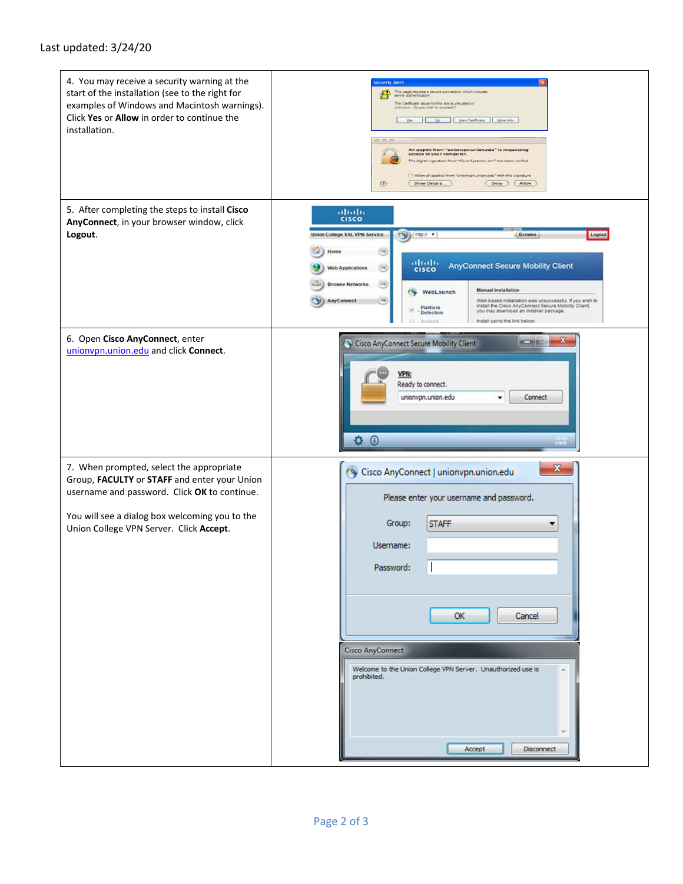